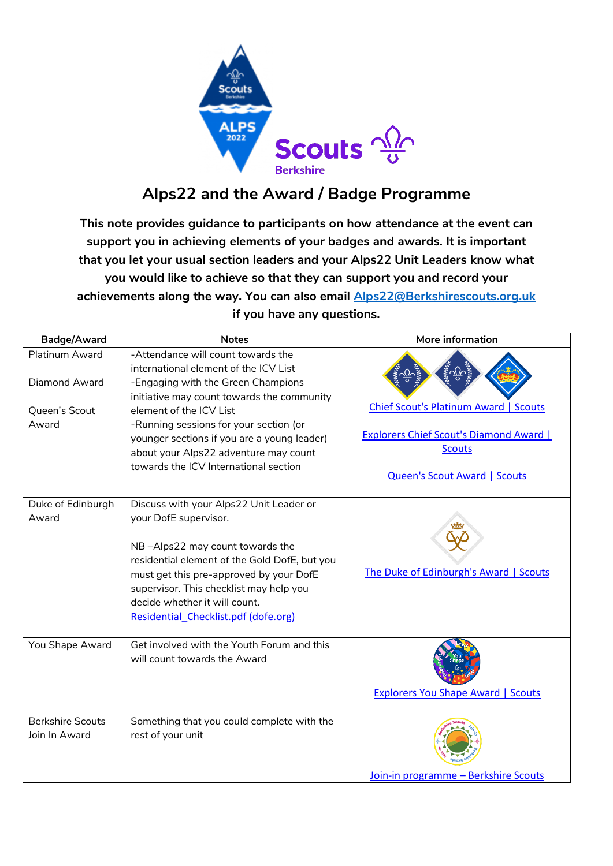

## **Alps22 and the Award / Badge Programme**

**This note provides guidance to participants on how attendance at the event can support you in achieving elements of your badges and awards. It is important that you let your usual section leaders and your Alps22 Unit Leaders know what you would like to achieve so that they can support you and record your achievements along the way. You can also email [Alps22@Berkshirescouts.org.uk](mailto:Alps22@Berkshirescouts.org.uk) if you have any questions.** 

| Badge/Award                                               | <b>Notes</b>                                                                                                                                                                                                                                                                                                                                                          | More information                                                                                                                                       |
|-----------------------------------------------------------|-----------------------------------------------------------------------------------------------------------------------------------------------------------------------------------------------------------------------------------------------------------------------------------------------------------------------------------------------------------------------|--------------------------------------------------------------------------------------------------------------------------------------------------------|
| Platinum Award<br>Diamond Award<br>Queen's Scout<br>Award | -Attendance will count towards the<br>international element of the ICV List<br>-Engaging with the Green Champions<br>initiative may count towards the community<br>element of the ICV List<br>-Running sessions for your section (or<br>younger sections if you are a young leader)<br>about your Alps22 adventure may count<br>towards the ICV International section | <b>Chief Scout's Platinum Award   Scouts</b><br><b>Explorers Chief Scout's Diamond Award  </b><br><b>Scouts</b><br><b>Queen's Scout Award   Scouts</b> |
| Duke of Edinburgh<br>Award                                | Discuss with your Alps22 Unit Leader or<br>your DofE supervisor.<br>NB-Alps22 may count towards the<br>residential element of the Gold DofE, but you<br>must get this pre-approved by your DofE<br>supervisor. This checklist may help you<br>decide whether it will count.<br>Residential Checklist.pdf (dofe.org)                                                   | The Duke of Edinburgh's Award   Scouts                                                                                                                 |
| You Shape Award                                           | Get involved with the Youth Forum and this<br>will count towards the Award                                                                                                                                                                                                                                                                                            | <b>Explorers You Shape Award   Scouts</b>                                                                                                              |
| <b>Berkshire Scouts</b><br>Join In Award                  | Something that you could complete with the<br>rest of your unit                                                                                                                                                                                                                                                                                                       | Join-in programme - Berkshire Scouts                                                                                                                   |